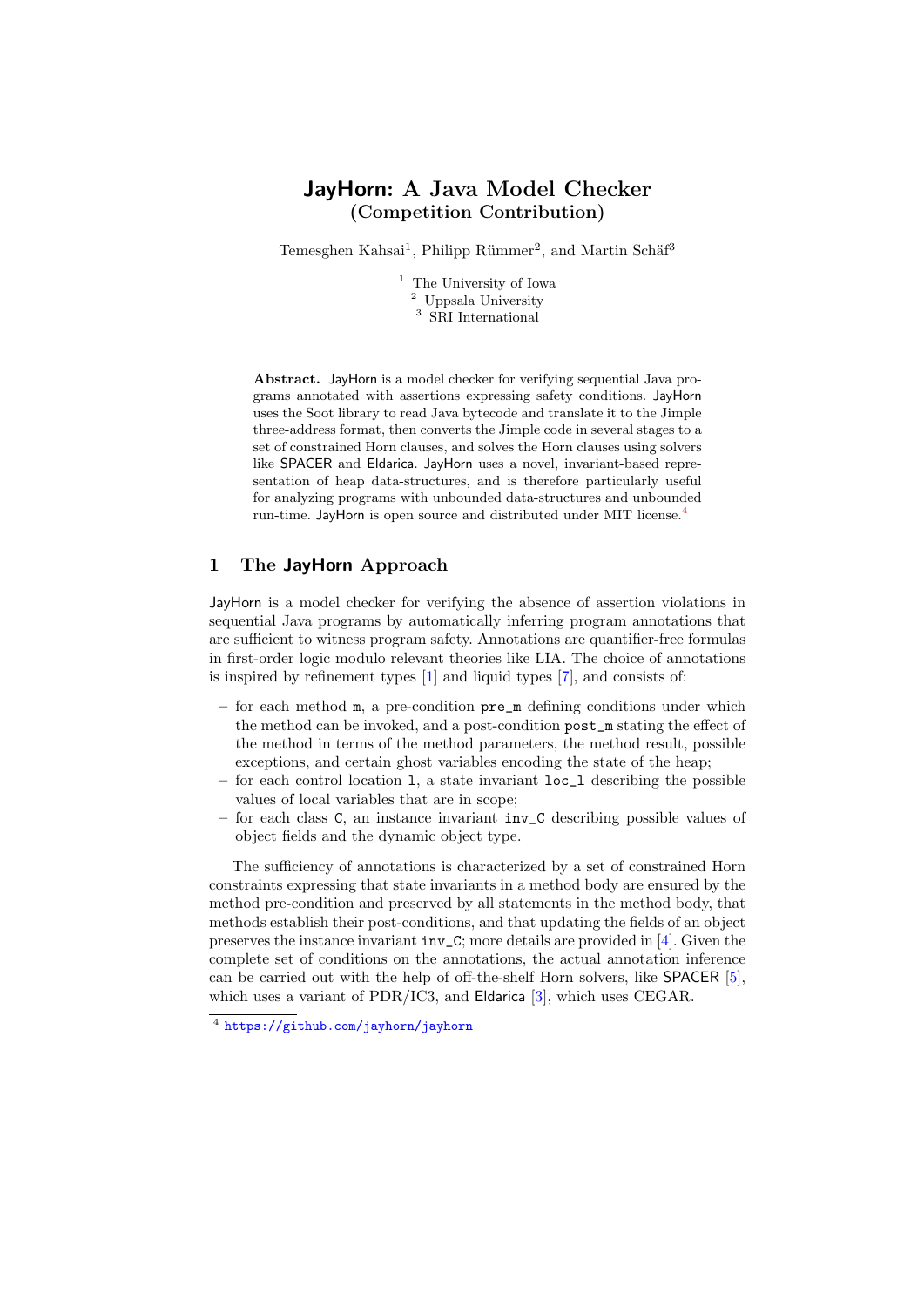# JayHorn: A Java Model Checker (Competition Contribution)

Temesghen Kahsai<sup>1</sup>, Philipp Rümmer<sup>2</sup>, and Martin Schäf<sup>3</sup>

<sup>1</sup> The University of Iowa <sup>2</sup> Uppsala University <sup>3</sup> SRI International

Abstract. JayHorn is a model checker for verifying sequential Java programs annotated with assertions expressing safety conditions. JayHorn uses the Soot library to read Java bytecode and translate it to the Jimple three-address format, then converts the Jimple code in several stages to a set of constrained Horn clauses, and solves the Horn clauses using solvers like SPACER and Eldarica. JayHorn uses a novel, invariant-based representation of heap data-structures, and is therefore particularly useful for analyzing programs with unbounded data-structures and unbounded run-time. JayHorn is open source and distributed under MIT license.[4](#page-0-0)

# <span id="page-0-1"></span>1 The JayHorn Approach

JayHorn is a model checker for verifying the absence of assertion violations in sequential Java programs by automatically inferring program annotations that are sufficient to witness program safety. Annotations are quantifier-free formulas in first-order logic modulo relevant theories like LIA. The choice of annotations is inspired by refinement types [\[1\]](#page-4-0) and liquid types [\[7\]](#page-4-1), and consists of:

- for each method m, a pre-condition pre\_m defining conditions under which the method can be invoked, and a post-condition post\_m stating the effect of the method in terms of the method parameters, the method result, possible exceptions, and certain ghost variables encoding the state of the heap;
- for each control location l, a state invariant loc\_l describing the possible values of local variables that are in scope;
- for each class C, an instance invariant inv\_C describing possible values of object fields and the dynamic object type.

The sufficiency of annotations is characterized by a set of constrained Horn constraints expressing that state invariants in a method body are ensured by the method pre-condition and preserved by all statements in the method body, that methods establish their post-conditions, and that updating the fields of an object preserves the instance invariant inv\_C; more details are provided in [\[4\]](#page-4-2). Given the complete set of conditions on the annotations, the actual annotation inference can be carried out with the help of off-the-shelf Horn solvers, like SPACER [\[5\]](#page-4-3), which uses a variant of PDR/IC3, and Eldarica [\[3\]](#page-4-4), which uses CEGAR.

<span id="page-0-0"></span><sup>4</sup> <https://github.com/jayhorn/jayhorn>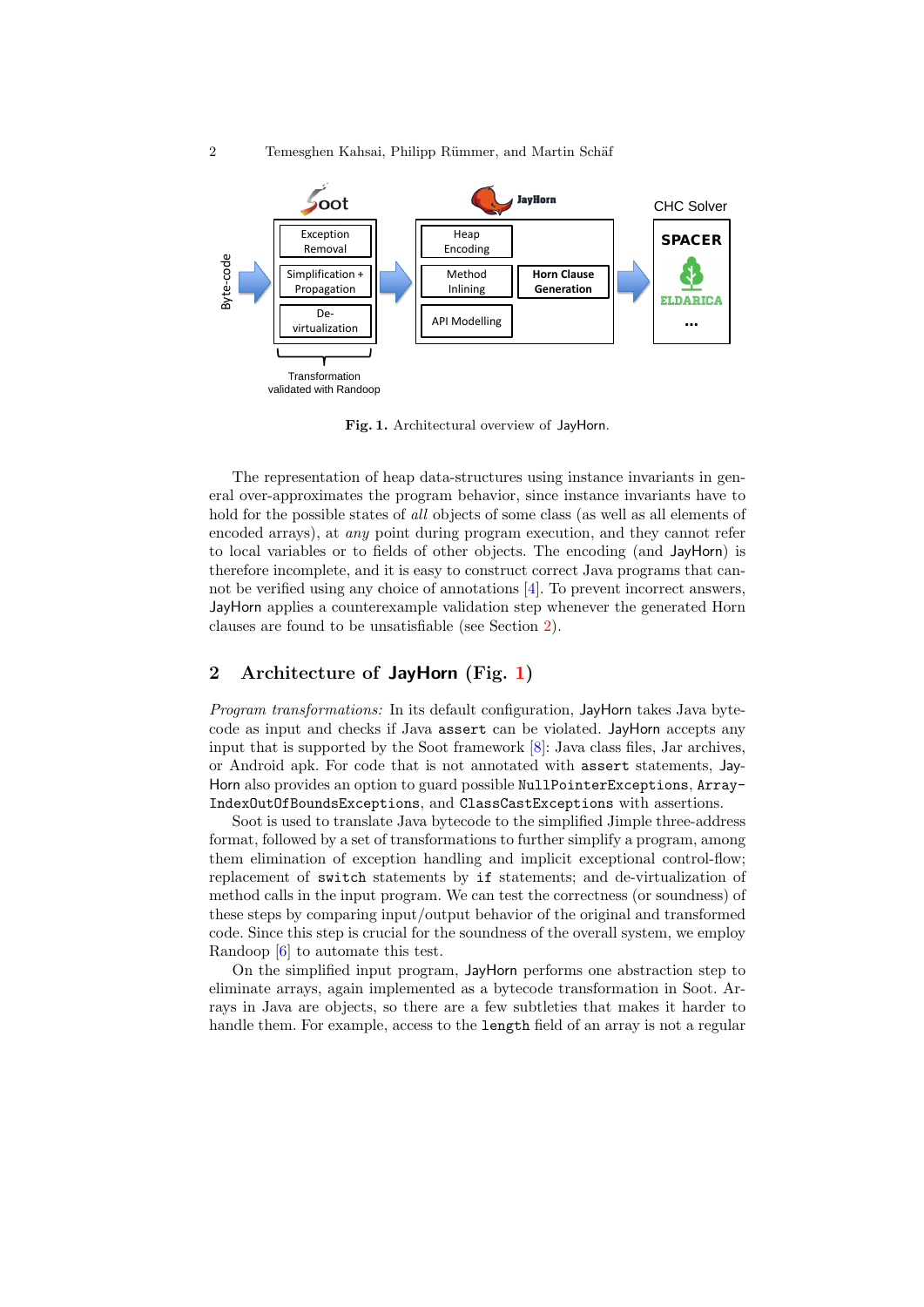

<span id="page-1-1"></span>Fig. 1. Architectural overview of JayHorn.

The representation of heap data-structures using instance invariants in general over-approximates the program behavior, since instance invariants have to hold for the possible states of *all* objects of some class (as well as all elements of encoded arrays), at any point during program execution, and they cannot refer to local variables or to fields of other objects. The encoding (and JayHorn) is therefore incomplete, and it is easy to construct correct Java programs that cannot be verified using any choice of annotations [\[4\]](#page-4-2). To prevent incorrect answers, JayHorn applies a counterexample validation step whenever the generated Horn clauses are found to be unsatisfiable (see Section [2\)](#page-1-0).

# <span id="page-1-0"></span>2 Architecture of JayHorn (Fig. [1\)](#page-1-1)

Program transformations: In its default configuration, JayHorn takes Java bytecode as input and checks if Java assert can be violated. JayHorn accepts any input that is supported by the Soot framework [\[8\]](#page-4-5): Java class files, Jar archives, or Android apk. For code that is not annotated with assert statements, Jay-Horn also provides an option to guard possible NullPointerExceptions, Array-IndexOutOfBoundsExceptions, and ClassCastExceptions with assertions.

Soot is used to translate Java bytecode to the simplified Jimple three-address format, followed by a set of transformations to further simplify a program, among them elimination of exception handling and implicit exceptional control-flow; replacement of switch statements by if statements; and de-virtualization of method calls in the input program. We can test the correctness (or soundness) of these steps by comparing input/output behavior of the original and transformed code. Since this step is crucial for the soundness of the overall system, we employ Randoop [\[6\]](#page-4-6) to automate this test.

On the simplified input program, JayHorn performs one abstraction step to eliminate arrays, again implemented as a bytecode transformation in Soot. Arrays in Java are objects, so there are a few subtleties that makes it harder to handle them. For example, access to the length field of an array is not a regular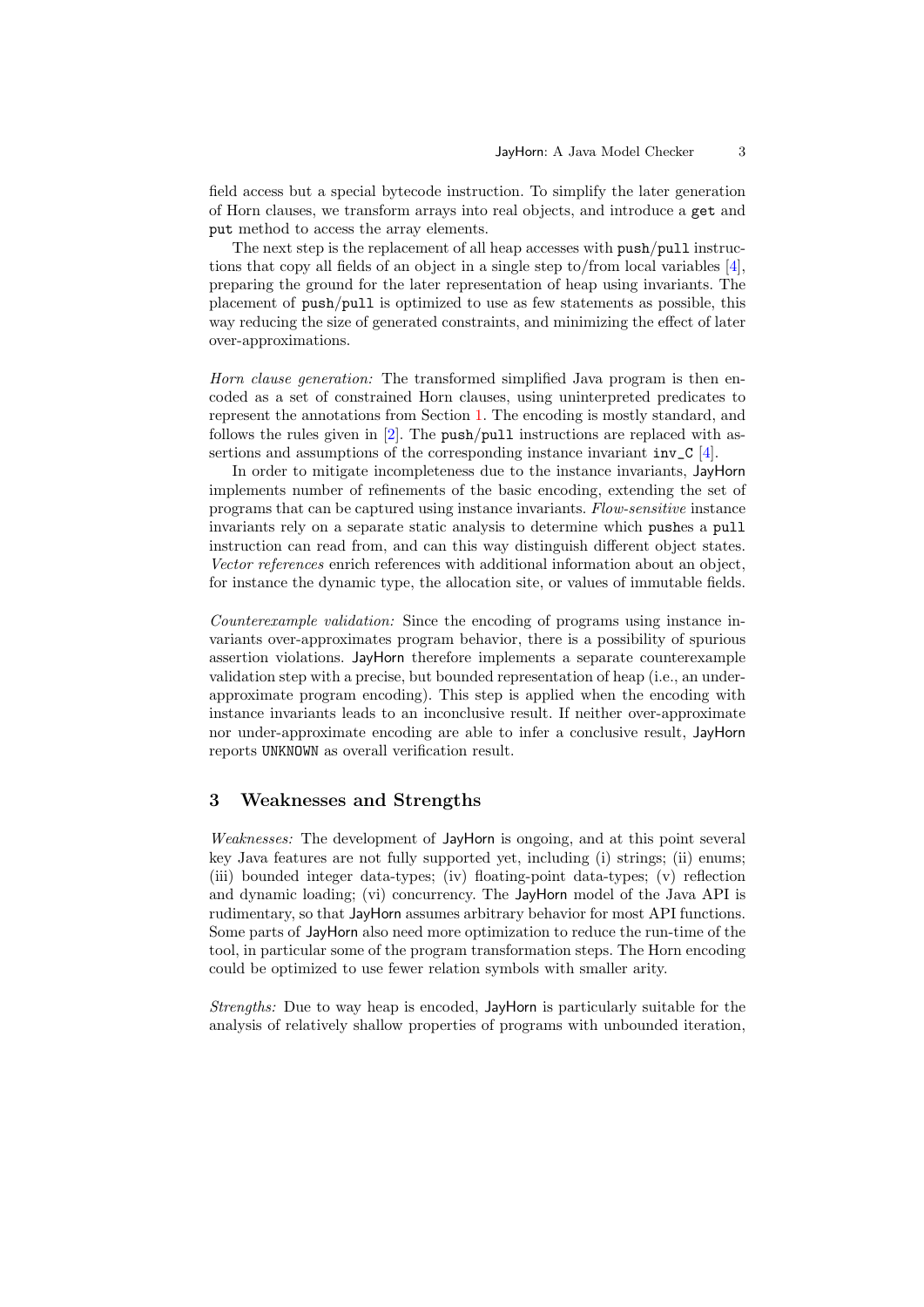field access but a special bytecode instruction. To simplify the later generation of Horn clauses, we transform arrays into real objects, and introduce a get and put method to access the array elements.

The next step is the replacement of all heap accesses with push/pull instructions that copy all fields of an object in a single step to/from local variables [\[4\]](#page-4-2), preparing the ground for the later representation of heap using invariants. The placement of push/pull is optimized to use as few statements as possible, this way reducing the size of generated constraints, and minimizing the effect of later over-approximations.

Horn clause generation: The transformed simplified Java program is then encoded as a set of constrained Horn clauses, using uninterpreted predicates to represent the annotations from Section [1.](#page-0-1) The encoding is mostly standard, and follows the rules given in  $[2]$ . The push/pull instructions are replaced with assertions and assumptions of the corresponding instance invariant  $inv_{\alpha}C$  [\[4\]](#page-4-2).

In order to mitigate incompleteness due to the instance invariants, JayHorn implements number of refinements of the basic encoding, extending the set of programs that can be captured using instance invariants. Flow-sensitive instance invariants rely on a separate static analysis to determine which pushes a pull instruction can read from, and can this way distinguish different object states. Vector references enrich references with additional information about an object, for instance the dynamic type, the allocation site, or values of immutable fields.

Counterexample validation: Since the encoding of programs using instance invariants over-approximates program behavior, there is a possibility of spurious assertion violations. JayHorn therefore implements a separate counterexample validation step with a precise, but bounded representation of heap (i.e., an underapproximate program encoding). This step is applied when the encoding with instance invariants leads to an inconclusive result. If neither over-approximate nor under-approximate encoding are able to infer a conclusive result, JayHorn reports UNKNOWN as overall verification result.

#### 3 Weaknesses and Strengths

Weaknesses: The development of **JayHorn** is ongoing, and at this point several key Java features are not fully supported yet, including (i) strings; (ii) enums; (iii) bounded integer data-types; (iv) floating-point data-types; (v) reflection and dynamic loading; (vi) concurrency. The JayHorn model of the Java API is rudimentary, so that JayHorn assumes arbitrary behavior for most API functions. Some parts of JayHorn also need more optimization to reduce the run-time of the tool, in particular some of the program transformation steps. The Horn encoding could be optimized to use fewer relation symbols with smaller arity.

Strengths: Due to way heap is encoded, JayHorn is particularly suitable for the analysis of relatively shallow properties of programs with unbounded iteration,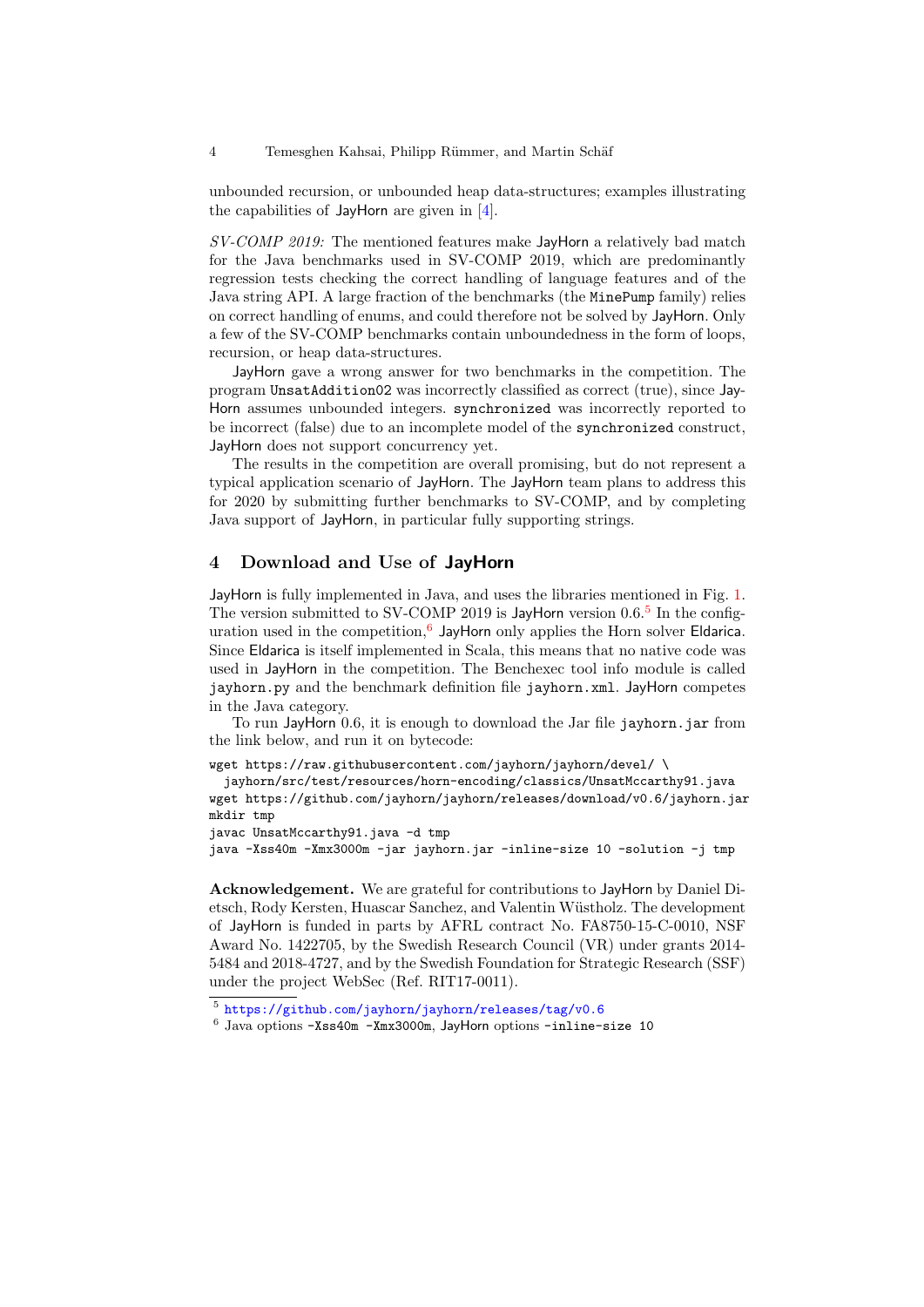4 Temesghen Kahsai, Philipp Rümmer, and Martin Schäf

unbounded recursion, or unbounded heap data-structures; examples illustrating the capabilities of JayHorn are given in [\[4\]](#page-4-2).

SV-COMP 2019: The mentioned features make JayHorn a relatively bad match for the Java benchmarks used in SV-COMP 2019, which are predominantly regression tests checking the correct handling of language features and of the Java string API. A large fraction of the benchmarks (the MinePump family) relies on correct handling of enums, and could therefore not be solved by JayHorn. Only a few of the SV-COMP benchmarks contain unboundedness in the form of loops, recursion, or heap data-structures.

JayHorn gave a wrong answer for two benchmarks in the competition. The program UnsatAddition02 was incorrectly classified as correct (true), since Jay-Horn assumes unbounded integers. synchronized was incorrectly reported to be incorrect (false) due to an incomplete model of the synchronized construct, JayHorn does not support concurrency yet.

The results in the competition are overall promising, but do not represent a typical application scenario of JayHorn. The JayHorn team plans to address this for 2020 by submitting further benchmarks to SV-COMP, and by completing Java support of JayHorn, in particular fully supporting strings.

## 4 Download and Use of JayHorn

JayHorn is fully implemented in Java, and uses the libraries mentioned in Fig. [1.](#page-1-1) The version submitted to SV-COMP 2019 is JayHorn version 0.6.<sup>[5](#page-3-0)</sup> In the config-uration used in the competition,<sup>[6](#page-3-1)</sup> JayHorn only applies the Horn solver Eldarica. Since Eldarica is itself implemented in Scala, this means that no native code was used in JayHorn in the competition. The Benchexec tool info module is called jayhorn.py and the benchmark definition file jayhorn.xml. JayHorn competes in the Java category.

To run JayHorn 0.6, it is enough to download the Jar file jayhorn.jar from the link below, and run it on bytecode:

```
wget https://raw.githubusercontent.com/jayhorn/jayhorn/devel/ \
```
jayhorn/src/test/resources/horn-encoding/classics/UnsatMccarthy91.java wget https://github.com/jayhorn/jayhorn/releases/download/v0.6/jayhorn.jar mkdir tmp javac UnsatMccarthy91.java -d tmp

java -Xss40m -Xmx3000m -jar jayhorn.jar -inline-size 10 -solution -j tmp

Acknowledgement. We are grateful for contributions to JayHorn by Daniel Dietsch, Rody Kersten, Huascar Sanchez, and Valentin Wüstholz. The development of JayHorn is funded in parts by AFRL contract No. FA8750-15-C-0010, NSF Award No. 1422705, by the Swedish Research Council (VR) under grants 2014- 5484 and 2018-4727, and by the Swedish Foundation for Strategic Research (SSF) under the project WebSec (Ref. RIT17-0011).

<span id="page-3-0"></span> $^5$ <https://github.com/jayhorn/jayhorn/releases/tag/v0.6>

<span id="page-3-1"></span><sup>6</sup> Java options -Xss40m -Xmx3000m, JayHorn options -inline-size 10